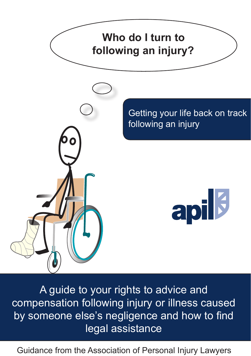

A guide to your rights to advice and compensation following injury or illness caused by someone else's negligence and how to find legal assistance

Guidance from the Association of Personal Injury Lawyers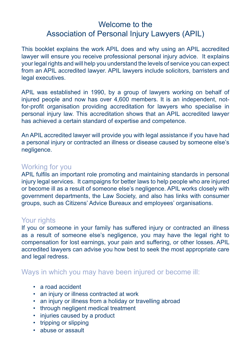# Welcome to the Association of Personal Injury Lawyers (APIL)

This booklet explains the work APIL does and why using an APIL accredited lawyer will ensure you receive professional personal injury advice. It explains your legal rights and will help you understand the levels of service you can expect from an APIL accredited lawyer. APIL lawyers include solicitors, barristers and legal executives.

APIL was established in 1990, by a group of lawyers working on behalf of injured people and now has over 4,600 members. It is an independent, notfor-profit organisation providing accreditation for lawyers who specialise in personal injury law. This accreditation shows that an APIL accredited lawyer has achieved a certain standard of expertise and competence.

An APIL accredited lawyer will provide you with legal assistance if you have had a personal injury or contracted an illness or disease caused by someone else's negligence.

#### Working for you

APIL fulfils an important role promoting and maintaining standards in personal injury legal services. It campaigns for better laws to help people who are injured or become ill as a result of someone else's negligence. APIL works closely with government departments, the Law Society, and also has links with consumer groups, such as Citizens' Advice Bureaux and employees' organisations.

#### Your rights

If you or someone in your family has suffered injury or contracted an illness as a result of someone else's negligence, you may have the legal right to compensation for lost earnings, your pain and suffering, or other losses. APIL accredited lawyers can advise you how best to seek the most appropriate care and legal redress.

#### Ways in which you may have been injured or become ill:

- a road accident
- an injury or illness contracted at work
- an injury or illness from a holiday or travelling abroad
- through negligent medical treatment
- injuries caused by a product
- tripping or slipping
- abuse or assault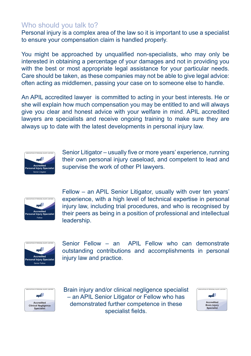# Who should you talk to?

Personal injury is a complex area of the law so it is important to use a specialist to ensure your compensation claim is handled properly.

You might be approached by unqualified non-specialists, who may only be interested in obtaining a percentage of your damages and not in providing you with the best or most appropriate legal assistance for your particular needs. Care should be taken, as these companies may not be able to give legal advice: often acting as middlemen, passing your case on to someone else to handle.

An APIL accredited lawyer is committed to acting in your best interests. He or she will explain how much compensation you may be entitled to and will always give you clear and honest advice with your welfare in mind. APIL accredited lawyers are specialists and receive ongoing training to make sure they are always up to date with the latest developments in personal injury law.



Senior Litigator – usually five or more years' experience, running their own personal injury caseload, and competent to lead and supervise the work of other PI lawyers.



Fellow – an APIL Senior Litigator, usually with over ten years' experience, with a high level of technical expertise in personal injury law, including trial procedures, and who is recognised by their peers as being in a position of professional and intellectual leadership.



Senior Fellow – an APIL Fellow who can demonstrate outstanding contributions and accomplishments in personal injury law and practice.



Brain injury and/or clinical negligence specialist – an APIL Senior Litigator or Fellow who has demonstrated further competence in these specialist fields.

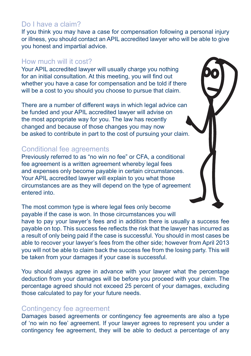### Do I have a claim?

If you think you may have a case for compensation following a personal injury or illness, you should contact an APIL accredited lawyer who will be able to give you honest and impartial advice.

#### How much will it cost?

Your APIL accredited lawyer will usually charge you nothing for an initial consultation. At this meeting, you will find out whether you have a case for compensation and be told if there will be a cost to you should you choose to pursue that claim.

There are a number of different ways in which legal advice can be funded and your APIL accredited lawyer will advise on the most appropriate way for you. The law has recently changed and because of those changes you may now be asked to contribute in part to the cost of pursuing your claim.

#### Conditional fee agreements

Previously referred to as "no win no fee" or CFA, a conditional fee agreement is a written agreement whereby legal fees and expenses only become payable in certain circumstances. Your APIL accredited lawyer will explain to you what those circumstances are as they will depend on the type of agreement entered into.

The most common type is where legal fees only become payable if the case is won. In those circumstances you will have to pay your lawyer's fees and in addition there is usually a success fee payable on top. This success fee reflects the risk that the lawyer has incurred as a result of only being paid if the case is successful. You should in most cases be able to recover your lawyer's fees from the other side; however from April 2013 you will not be able to claim back the success fee from the losing party. This will be taken from your damages if your case is successful.

You should always agree in advance with your lawyer what the percentage deduction from your damages will be before you proceed with your claim. The percentage agreed should not exceed 25 percent of your damages, excluding those calculated to pay for your future needs.

#### Contingency fee agreement

Damages based agreements or contingency fee agreements are also a type of 'no win no fee' agreement. If your lawyer agrees to represent you under a contingency fee agreement, they will be able to deduct a percentage of any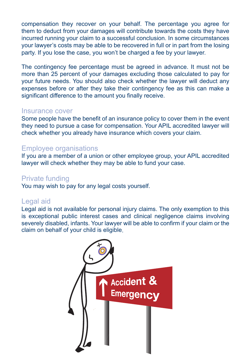compensation they recover on your behalf. The percentage you agree for them to deduct from your damages will contribute towards the costs they have incurred running your claim to a successful conclusion. In some circumstances your lawyer's costs may be able to be recovered in full or in part from the losing party. If you lose the case, you won't be charged a fee by your lawyer.

The contingency fee percentage must be agreed in advance. It must not be more than 25 percent of your damages excluding those calculated to pay for your future needs. You should also check whether the lawyer will deduct any expenses before or after they take their contingency fee as this can make a significant difference to the amount you finally receive.

#### Insurance cover

Some people have the benefit of an insurance policy to cover them in the event they need to pursue a case for compensation. Your APIL accredited lawyer will check whether you already have insurance which covers your claim.

#### Employee organisations

If you are a member of a union or other employee group, your APIL accredited lawyer will check whether they may be able to fund your case.

#### Private funding

You may wish to pay for any legal costs yourself.

#### Legal aid

Legal aid is not available for personal injury claims. The only exemption to this is exceptional public interest cases and clinical negligence claims involving severely disabled, infants. Your lawyer will be able to confirm if your claim or the claim on behalf of your child is eligible.

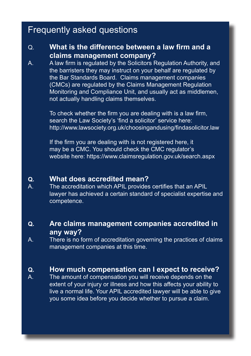# Frequently asked questions

### Q. **What is the difference between a law firm and a claims management company?**

A. A law firm is regulated by the Solicitors Regulation Authority, and the barristers they may instruct on your behalf are regulated by the Bar Standards Board. Claims management companies (CMCs) are regulated by the Claims Management Regulation Monitoring and Compliance Unit, and usually act as middlemen, not actually handling claims themselves.

> To check whether the firm you are dealing with is a law firm, search the Law Society's 'find a solicitor' service here: http://www.lawsociety.org.uk/choosingandusing/findasolicitor.law

If the firm you are dealing with is not registered here, it may be a CMC. You should check the CMC regulator's website here: https://www.claimsregulation.gov.uk/search.aspx

# **Q. What does accredited mean?**<br>A The accreditation which APIL provides

The accreditation which APIL provides certifies that an APIL lawyer has achieved a certain standard of specialist expertise and competence.

### **Q. Are claims management companies accredited in any way?**

A. There is no form of accreditation governing the practices of claims management companies at this time.

# **Q. How much compensation can I expect to receive?**

The amount of compensation you will receive depends on the extent of your injury or illness and how this affects your ability to live a normal life. Your APIL accredited lawyer will be able to give you some idea before you decide whether to pursue a claim.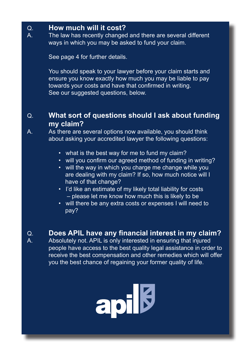# Q. **How much will it cost?**

The law has recently changed and there are several different ways in which you may be asked to fund your claim.

See page 4 for further details.

You should speak to your lawyer before your claim starts and ensure you know exactly how much you may be liable to pay towards your costs and have that confirmed in writing. See our suggested questions, below.

# Q. **What sort of questions should I ask about funding my claim?**

A. As there are several options now available, you should think about asking your accredited lawyer the following questions:

- what is the best way for me to fund my claim?
- will you confirm our agreed method of funding in writing?
- will the way in which you charge me change while you are dealing with my claim? If so, how much notice will I have of that change?
- I'd like an estimate of my likely total liability for costs – please let me know how much this is likely to be
- will there be any extra costs or expenses I will need to pay?
- Q. **Does APIL have any financial interest in my claim?** Absolutely not. APIL is only interested in ensuring that injured people have access to the best quality legal assistance in order to receive the best compensation and other remedies which will offer you the best chance of regaining your former quality of life.